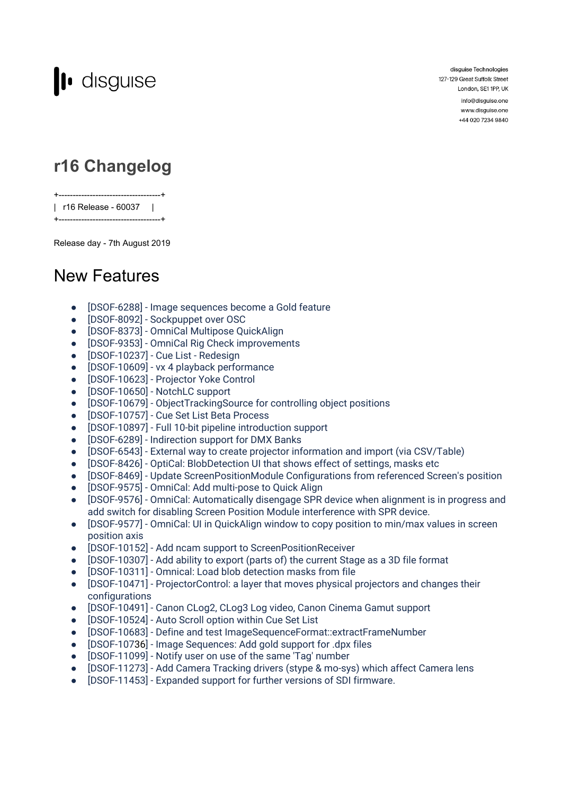

disguise Technologies 127-129 Great Suffolk Street London, SE1 1PP, UK

> info@disguise.one www.disguise.one +44 020 7234 9840

# **r16 Changelog**

+------------------------------------+ | r16 Release - 60037 |

+------------------------------------+

Release day - 7th August 2019

### New Features

- [DSOF-6288] Image sequences become a Gold feature
- [DSOF-8092] Sockpuppet over OSC
- [DSOF-8373] OmniCal Multipose QuickAlign
- [DSOF-9353] OmniCal Rig Check improvements
- [DSOF-10237] Cue List Redesign
- [DSOF-10609] vx 4 playback performance
- [DSOF-10623] Projector Yoke Control
- [DSOF-10650] NotchLC support
- [DSOF-10679] ObjectTrackingSource for controlling object positions
- [DSOF-10757] Cue Set List Beta Process
- [DSOF-10897] Full 10-bit pipeline introduction support
- [DSOF-6289] Indirection support for DMX Banks
- [DSOF-6543] External way to create projector information and import (via CSV/Table)
- [DSOF-8426] OptiCal: BlobDetection UI that shows effect of settings, masks etc
- [DSOF-8469] Update ScreenPositionModule Configurations from referenced Screen's position
- [DSOF-9575] OmniCal: Add multi-pose to Quick Align
- [DSOF-9576] OmniCal: Automatically disengage SPR device when alignment is in progress and add switch for disabling Screen Position Module interference with SPR device.
- [DSOF-9577] OmniCal: UI in QuickAlign window to copy position to min/max values in screen position axis
- [DSOF-10152] Add ncam support to ScreenPositionReceiver
- [DSOF-10307] Add ability to export (parts of) the current Stage as a 3D file format
- [DSOF-10311] Omnical: Load blob detection masks from file
- [DSOF-10471] ProjectorControl: a layer that moves physical projectors and changes their configurations
- [DSOF-10491] Canon CLog2, CLog3 Log video, Canon Cinema Gamut support
- [DSOF-10524] Auto Scroll option within Cue Set List
- [DSOF-10683] Define and test ImageSequenceFormat::extractFrameNumber
- [DSOF-10736] Image Sequences: Add gold support for .dpx files
- [DSOF-11099] Notify user on use of the same 'Tag' number
- [DSOF-11273] Add Camera Tracking drivers (stype & mo-sys) which affect Camera lens
- [DSOF-11453] Expanded support for further versions of SDI firmware.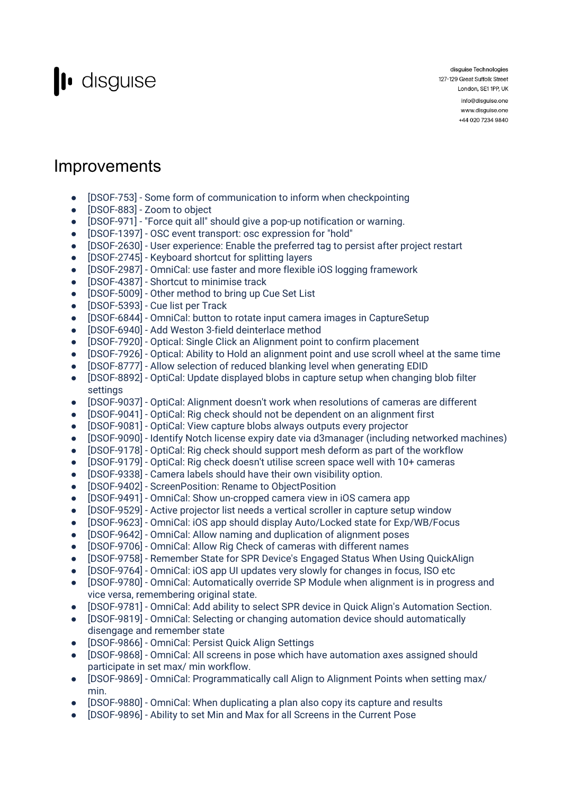

disguise Technologies 127-129 Great Suffolk Street London, SE1 1PP, UK info@disguise.one www.disguise.one

+44 020 7234 9840

### **Improvements**

- [DSOF-753] Some form of communication to inform when checkpointing
- [DSOF-883] Zoom to object
- [DSOF-971] "Force quit all" should give a pop-up notification or warning.
- [DSOF-1397] OSC event transport: osc expression for "hold"
- [DSOF-2630] User experience: Enable the preferred tag to persist after project restart
- [DSOF-2745] Keyboard shortcut for splitting layers
- [DSOF-2987] OmniCal: use faster and more flexible iOS logging framework
- [DSOF-4387] Shortcut to minimise track
- [DSOF-5009] Other method to bring up Cue Set List
- [DSOF-5393] Cue list per Track
- [DSOF-6844] OmniCal: button to rotate input camera images in CaptureSetup
- [DSOF-6940] Add Weston 3-field deinterlace method
- [DSOF-7920] Optical: Single Click an Alignment point to confirm placement
- [DSOF-7926] Optical: Ability to Hold an alignment point and use scroll wheel at the same time
- [DSOF-8777] Allow selection of reduced blanking level when generating EDID
- [DSOF-8892] OptiCal: Update displayed blobs in capture setup when changing blob filter settings
- [DSOF-9037] OptiCal: Alignment doesn't work when resolutions of cameras are different
- [DSOF-9041] OptiCal: Rig check should not be dependent on an alignment first
- [DSOF-9081] OptiCal: View capture blobs always outputs every projector
- [DSOF-9090] Identify Notch license expiry date via d3manager (including networked machines)
- [DSOF-9178] OptiCal: Rig check should support mesh deform as part of the workflow
- [DSOF-9179] OptiCal: Rig check doesn't utilise screen space well with 10+ cameras
- [DSOF-9338] Camera labels should have their own visibility option.
- [DSOF-9402] ScreenPosition: Rename to ObjectPosition
- [DSOF-9491] OmniCal: Show un-cropped camera view in iOS camera app
- [DSOF-9529] Active projector list needs a vertical scroller in capture setup window
- [DSOF-9623] OmniCal: iOS app should display Auto/Locked state for Exp/WB/Focus
- [DSOF-9642] OmniCal: Allow naming and duplication of alignment poses
- [DSOF-9706] OmniCal: Allow Rig Check of cameras with different names
- [DSOF-9758] Remember State for SPR Device's Engaged Status When Using QuickAlign
- [DSOF-9764] OmniCal: iOS app UI updates very slowly for changes in focus, ISO etc
- [DSOF-9780] OmniCal: Automatically override SP Module when alignment is in progress and vice versa, remembering original state.
- [DSOF-9781] OmniCal: Add ability to select SPR device in Quick Align's Automation Section.
- [DSOF-9819] OmniCal: Selecting or changing automation device should automatically disengage and remember state
- [DSOF-9866] OmniCal: Persist Quick Align Settings
- [DSOF-9868] OmniCal: All screens in pose which have automation axes assigned should participate in set max/ min workflow.
- [DSOF-9869] OmniCal: Programmatically call Align to Alignment Points when setting max/ min.
- [DSOF-9880] OmniCal: When duplicating a plan also copy its capture and results
- [DSOF-9896] Ability to set Min and Max for all Screens in the Current Pose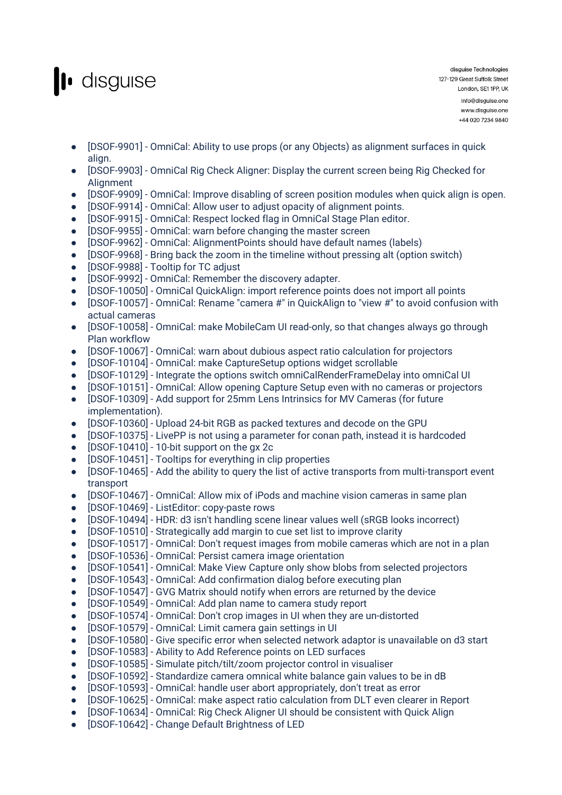

- [DSOF-9901] OmniCal: Ability to use props (or any Objects) as alignment surfaces in quick align.
- [DSOF-9903] OmniCal Rig Check Aligner: Display the current screen being Rig Checked for **Alignment**
- [DSOF-9909] OmniCal: Improve disabling of screen position modules when quick align is open.
- [DSOF-9914] OmniCal: Allow user to adjust opacity of alignment points.
- [DSOF-9915] OmniCal: Respect locked flag in OmniCal Stage Plan editor.
- [DSOF-9955] OmniCal: warn before changing the master screen
- [DSOF-9962] OmniCal: AlignmentPoints should have default names (labels)
- [DSOF-9968] Bring back the zoom in the timeline without pressing alt (option switch)
- [DSOF-9988] Tooltip for TC adjust
- [DSOF-9992] OmniCal: Remember the discovery adapter.
- [DSOF-10050] OmniCal QuickAlign: import reference points does not import all points
- [DSOF-10057] OmniCal: Rename "camera #" in QuickAlign to "view #" to avoid confusion with actual cameras
- [DSOF-10058] OmniCal: make MobileCam UI read-only, so that changes always go through Plan workflow
- [DSOF-10067] OmniCal: warn about dubious aspect ratio calculation for projectors
- [DSOF-10104] OmniCal: make CaptureSetup options widget scrollable
- [DSOF-10129] Integrate the options switch omniCalRenderFrameDelay into omniCal UI
- [DSOF-10151] OmniCal: Allow opening Capture Setup even with no cameras or projectors
- [DSOF-10309] Add support for 25mm Lens Intrinsics for MV Cameras (for future implementation).
- [DSOF-10360] Upload 24-bit RGB as packed textures and decode on the GPU
- [DSOF-10375] LivePP is not using a parameter for conan path, instead it is hardcoded
- [DSOF-10410] 10-bit support on the gx 2c
- [DSOF-10451] Tooltips for everything in clip properties
- [DSOF-10465] Add the ability to query the list of active transports from multi-transport event transport
- [DSOF-10467] OmniCal: Allow mix of iPods and machine vision cameras in same plan
- [DSOF-10469] ListEditor: copy-paste rows
- [DSOF-10494] HDR: d3 isn't handling scene linear values well (sRGB looks incorrect)
- [DSOF-10510] Strategically add margin to cue set list to improve clarity
- [DSOF-10517] OmniCal: Don't request images from mobile cameras which are not in a plan
- [DSOF-10536] OmniCal: Persist camera image orientation
- [DSOF-10541] OmniCal: Make View Capture only show blobs from selected projectors
- [DSOF-10543] OmniCal: Add confirmation dialog before executing plan
- [DSOF-10547] GVG Matrix should notify when errors are returned by the device
- [DSOF-10549] OmniCal: Add plan name to camera study report
- [DSOF-10574] OmniCal: Don't crop images in UI when they are un-distorted
- [DSOF-10579] OmniCal: Limit camera gain settings in UI
- [DSOF-10580] Give specific error when selected network adaptor is unavailable on d3 start
- [DSOF-10583] Ability to Add Reference points on LED surfaces
- [DSOF-10585] Simulate pitch/tilt/zoom projector control in visualiser
- [DSOF-10592] Standardize camera omnical white balance gain values to be in dB
- [DSOF-10593] OmniCal: handle user abort appropriately, don't treat as error
- [DSOF-10625] OmniCal: make aspect ratio calculation from DLT even clearer in Report
- [DSOF-10634] OmniCal: Rig Check Aligner UI should be consistent with Quick Align
- [DSOF-10642] Change Default Brightness of LED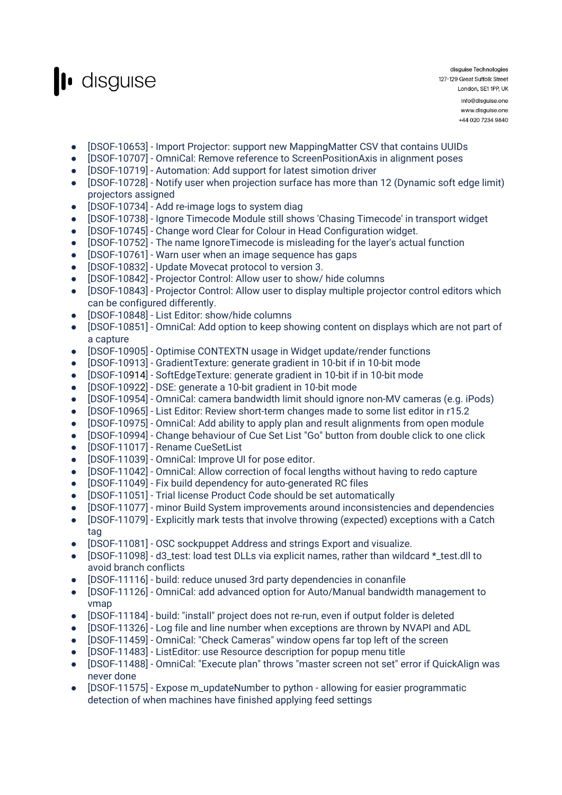

+44 020 7234 9840

- [DSOF-10653] Import Projector: support new MappingMatter CSV that contains UUIDs
- [DSOF-10707] OmniCal: Remove reference to ScreenPositionAxis in alignment poses
- [DSOF-10719] Automation: Add support for latest simotion driver
- [DSOF-10728] Notify user when projection surface has more than 12 (Dynamic soft edge limit) projectors assigned
- [DSOF-10734] Add re-image logs to system diag
- [DSOF-10738] Ignore Timecode Module still shows 'Chasing Timecode' in transport widget
- [DSOF-10745] Change word Clear for Colour in Head Configuration widget.
- [DSOF-10752] The name IgnoreTimecode is misleading for the layer's actual function
- [DSOF-10761] Warn user when an image sequence has gaps
- [DSOF-10832] Update Movecat protocol to version 3.
- [DSOF-10842] Projector Control: Allow user to show/ hide columns
- [DSOF-10843] Projector Control: Allow user to display multiple projector control editors which can be configured differently.
- [DSOF-10848] List Editor: show/hide columns
- [DSOF-10851] OmniCal: Add option to keep showing content on displays which are not part of a capture
- [DSOF-10905] Optimise CONTEXTN usage in Widget update/render functions
- [DSOF-10913] GradientTexture: generate gradient in 10-bit if in 10-bit mode
- [DSOF-10914] SoftEdgeTexture: generate gradient in 10-bit if in 10-bit mode
- [DSOF-10922] DSE: generate a 10-bit gradient in 10-bit mode
- [DSOF-10954] OmniCal: camera bandwidth limit should ignore non-MV cameras (e.g. iPods)
- [DSOF-10965] List Editor: Review short-term changes made to some list editor in r15.2
- [DSOF-10975] OmniCal: Add ability to apply plan and result alignments from open module
- [DSOF-10994] Change behaviour of Cue Set List "Go" button from double click to one click
- [DSOF-11017] Rename CueSetList
- [DSOF-11039] OmniCal: Improve UI for pose editor.
- [DSOF-11042] OmniCal: Allow correction of focal lengths without having to redo capture
- [DSOF-11049] Fix build dependency for auto-generated RC files
- [DSOF-11051] Trial license Product Code should be set automatically
- [DSOF-11077] minor Build System improvements around inconsistencies and dependencies
- [DSOF-11079] Explicitly mark tests that involve throwing (expected) exceptions with a Catch tag
- [DSOF-11081] OSC sockpuppet Address and strings Export and visualize.
- [DSOF-11098] d3\_test: load test DLLs via explicit names, rather than wildcard \*\_test.dll to avoid branch conflicts
- [DSOF-11116] build: reduce unused 3rd party dependencies in conanfile
- [DSOF-11126] OmniCal: add advanced option for Auto/Manual bandwidth management to vmap
- [DSOF-11184] build: "install" project does not re-run, even if output folder is deleted
- [DSOF-11326] Log file and line number when exceptions are thrown by NVAPI and ADL
- [DSOF-11459] OmniCal: "Check Cameras" window opens far top left of the screen
- [DSOF-11483] ListEditor: use Resource description for popup menu title
- [DSOF-11488] OmniCal: "Execute plan" throws "master screen not set" error if QuickAlign was never done
- [DSOF-11575] Expose m\_updateNumber to python allowing for easier programmatic detection of when machines have finished applying feed settings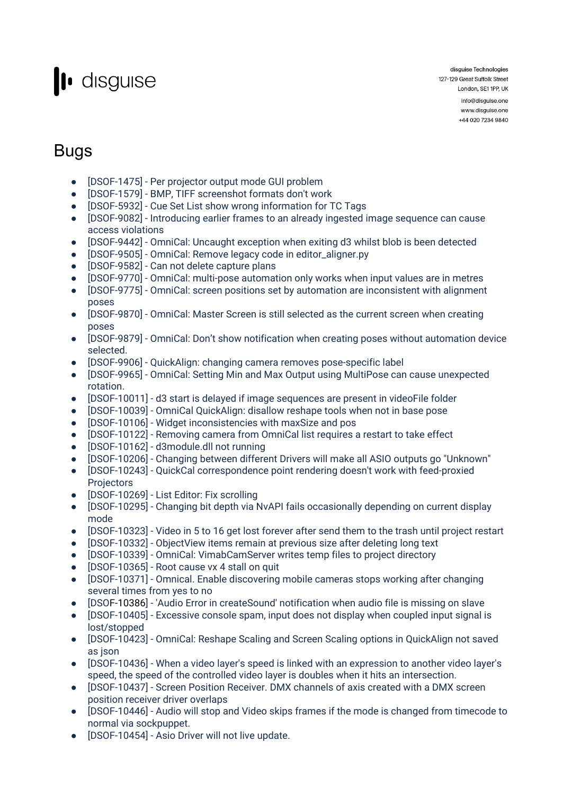

disguise Technologies 127-129 Great Suffolk Street London, SE1 1PP, UK info@disguise.one www.disguise.one +44 020 7234 9840

## Bugs

- [DSOF-1475] Per projector output mode GUI problem
- [DSOF-1579] BMP, TIFF screenshot formats don't work
- [DSOF-5932] Cue Set List show wrong information for TC Tags
- [DSOF-9082] Introducing earlier frames to an already ingested image sequence can cause access violations
- [DSOF-9442] OmniCal: Uncaught exception when exiting d3 whilst blob is been detected
- [DSOF-9505] OmniCal: Remove legacy code in editor\_aligner.py
- [DSOF-9582] Can not delete capture plans
- [DSOF-9770] OmniCal: multi-pose automation only works when input values are in metres
- [DSOF-9775] OmniCal: screen positions set by automation are inconsistent with alignment poses
- [DSOF-9870] OmniCal: Master Screen is still selected as the current screen when creating poses
- [DSOF-9879] OmniCal: Don't show notification when creating poses without automation device selected.
- [DSOF-9906] QuickAlign: changing camera removes pose-specific label
- [DSOF-9965] OmniCal: Setting Min and Max Output using MultiPose can cause unexpected rotation.
- [DSOF-10011] d3 start is delayed if image sequences are present in videoFile folder
- [DSOF-10039] OmniCal QuickAlign: disallow reshape tools when not in base pose
- [DSOF-10106] Widget inconsistencies with maxSize and pos
- [DSOF-10122] Removing camera from OmniCal list requires a restart to take effect
- [DSOF-10162] d3module.dll not running
- [DSOF-10206] Changing between different Drivers will make all ASIO outputs go "Unknown"
- [DSOF-10243] QuickCal correspondence point rendering doesn't work with feed-proxied **Projectors**
- [DSOF-10269] List Editor: Fix scrolling
- [DSOF-10295] Changing bit depth via NvAPI fails occasionally depending on current display mode
- [DSOF-10323] Video in 5 to 16 get lost forever after send them to the trash until project restart
- [DSOF-10332] ObjectView items remain at previous size after deleting long text
- [DSOF-10339] OmniCal: VimabCamServer writes temp files to project directory
- [DSOF-10365] Root cause vx 4 stall on quit
- [DSOF-10371] Omnical. Enable discovering mobile cameras stops working after changing several times from yes to no
- [DSOF-10386] 'Audio Error in createSound' notification when audio file is missing on slave
- [DSOF-10405] Excessive console spam, input does not display when coupled input signal is lost/stopped
- [DSOF-10423] OmniCal: Reshape Scaling and Screen Scaling options in QuickAlign not saved as json
- [DSOF-10436] When a video layer's speed is linked with an expression to another video layer's speed, the speed of the controlled video layer is doubles when it hits an intersection.
- [DSOF-10437] Screen Position Receiver. DMX channels of axis created with a DMX screen position receiver driver overlaps
- [DSOF-10446] Audio will stop and Video skips frames if the mode is changed from timecode to normal via sockpuppet.
- [DSOF-10454] Asio Driver will not live update.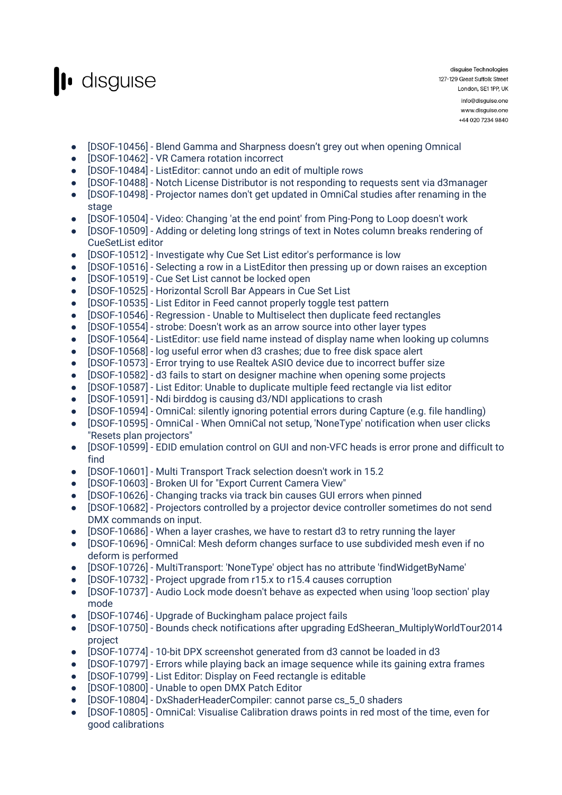

disguise Technologies 127-129 Great Suffolk Street London, SE1 1PP, UK info@disguise.one www.disguise.one +44 020 7234 9840

- [DSOF-10456] Blend Gamma and Sharpness doesn't grey out when opening Omnical
- [DSOF-10462] VR Camera rotation incorrect
- [DSOF-10484] ListEditor: cannot undo an edit of multiple rows
- [DSOF-10488] Notch License Distributor is not responding to requests sent via d3manager
- [DSOF-10498] Projector names don't get updated in OmniCal studies after renaming in the stage
- [DSOF-10504] Video: Changing 'at the end point' from Ping-Pong to Loop doesn't work
- [DSOF-10509] Adding or deleting long strings of text in Notes column breaks rendering of CueSetList editor
- [DSOF-10512] Investigate why Cue Set List editor's performance is low
- [DSOF-10516] Selecting a row in a ListEditor then pressing up or down raises an exception
- [DSOF-10519] Cue Set List cannot be locked open
- [DSOF-10525] Horizontal Scroll Bar Appears in Cue Set List
- [DSOF-10535] List Editor in Feed cannot properly toggle test pattern
- [DSOF-10546] Regression Unable to Multiselect then duplicate feed rectangles
- [DSOF-10554] strobe: Doesn't work as an arrow source into other layer types
- [DSOF-10564] ListEditor: use field name instead of display name when looking up columns
- [DSOF-10568] log useful error when d3 crashes; due to free disk space alert
- [DSOF-10573] Error trying to use Realtek ASIO device due to incorrect buffer size
- [DSOF-10582] d3 fails to start on designer machine when opening some projects
- [DSOF-10587] List Editor: Unable to duplicate multiple feed rectangle via list editor
- [DSOF-10591] Ndi birddog is causing d3/NDI applications to crash
- [DSOF-10594] OmniCal: silently ignoring potential errors during Capture (e.g. file handling)
- [DSOF-10595] OmniCal When OmniCal not setup, 'NoneType' notification when user clicks "Resets plan projectors"
- [DSOF-10599] EDID emulation control on GUI and non-VFC heads is error prone and difficult to find
- [DSOF-10601] Multi Transport Track selection doesn't work in 15.2
- [DSOF-10603] Broken UI for "Export Current Camera View"
- [DSOF-10626] Changing tracks via track bin causes GUI errors when pinned
- [DSOF-10682] Projectors controlled by a projector device controller sometimes do not send DMX commands on input.
- [DSOF-10686] When a layer crashes, we have to restart d3 to retry running the layer
- [DSOF-10696] OmniCal: Mesh deform changes surface to use subdivided mesh even if no deform is performed
- [DSOF-10726] MultiTransport: 'NoneType' object has no attribute 'findWidgetByName'
- [DSOF-10732] Project upgrade from r15.x to r15.4 causes corruption
- [DSOF-10737] Audio Lock mode doesn't behave as expected when using 'loop section' play mode
- [DSOF-10746] Upgrade of Buckingham palace project fails
- [DSOF-10750] Bounds check notifications after upgrading EdSheeran\_MultiplyWorldTour2014 project
- [DSOF-10774] 10-bit DPX screenshot generated from d3 cannot be loaded in d3
- [DSOF-10797] Errors while playing back an image sequence while its gaining extra frames
- [DSOF-10799] List Editor: Display on Feed rectangle is editable
- [DSOF-10800] Unable to open DMX Patch Editor
- [DSOF-10804] DxShaderHeaderCompiler: cannot parse cs\_5\_0 shaders
- [DSOF-10805] OmniCal: Visualise Calibration draws points in red most of the time, even for good calibrations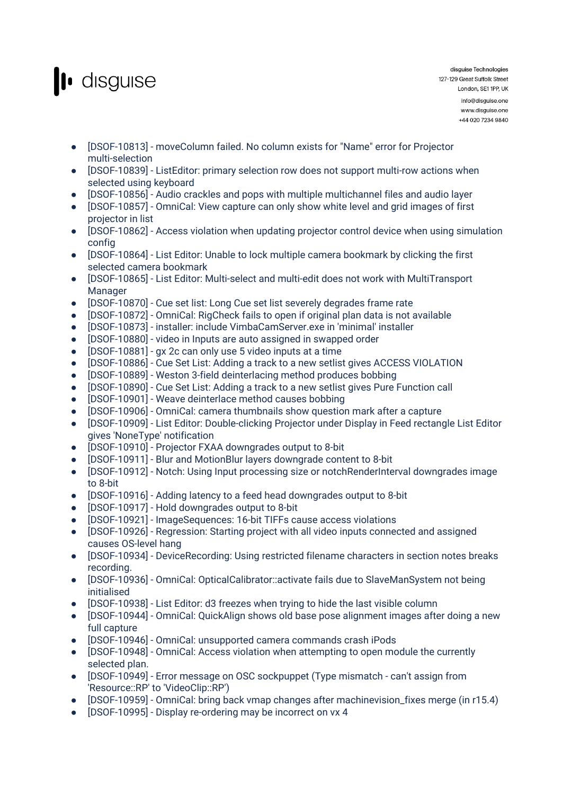

- [DSOF-10813] moveColumn failed. No column exists for "Name" error for Projector multi-selection
- [DSOF-10839] ListEditor: primary selection row does not support multi-row actions when selected using keyboard
- [DSOF-10856] Audio crackles and pops with multiple multichannel files and audio layer
- [DSOF-10857] OmniCal: View capture can only show white level and grid images of first projector in list
- [DSOF-10862] Access violation when updating projector control device when using simulation config
- [DSOF-10864] List Editor: Unable to lock multiple camera bookmark by clicking the first selected camera bookmark
- [DSOF-10865] List Editor: Multi-select and multi-edit does not work with MultiTransport Manager
- [DSOF-10870] Cue set list: Long Cue set list severely degrades frame rate
- [DSOF-10872] OmniCal: RigCheck fails to open if original plan data is not available
- [DSOF-10873] installer: include VimbaCamServer.exe in 'minimal' installer
- [DSOF-10880] video in Inputs are auto assigned in swapped order
- [DSOF-10881] gx 2c can only use 5 video inputs at a time
- [DSOF-10886] Cue Set List: Adding a track to a new setlist gives ACCESS VIOLATION
- [DSOF-10889] Weston 3-field deinterlacing method produces bobbing
- [DSOF-10890] Cue Set List: Adding a track to a new setlist gives Pure Function call
- [DSOF-10901] Weave deinterlace method causes bobbing
- [DSOF-10906] OmniCal: camera thumbnails show question mark after a capture
- [DSOF-10909] List Editor: Double-clicking Projector under Display in Feed rectangle List Editor gives 'NoneType' notification
- [DSOF-10910] Projector FXAA downgrades output to 8-bit
- [DSOF-10911] Blur and MotionBlur layers downgrade content to 8-bit
- [DSOF-10912] Notch: Using Input processing size or notchRenderInterval downgrades image to 8-bit
- [DSOF-10916] Adding latency to a feed head downgrades output to 8-bit
- [DSOF-10917] Hold downgrades output to 8-bit
- [DSOF-10921] ImageSequences: 16-bit TIFFs cause access violations
- [DSOF-10926] Regression: Starting project with all video inputs connected and assigned causes OS-level hang
- [DSOF-10934] DeviceRecording: Using restricted filename characters in section notes breaks recording.
- [DSOF-10936] OmniCal: OpticalCalibrator::activate fails due to SlaveManSystem not being initialised
- [DSOF-10938] List Editor: d3 freezes when trying to hide the last visible column
- [DSOF-10944] OmniCal: QuickAlign shows old base pose alignment images after doing a new full capture
- [DSOF-10946] OmniCal: unsupported camera commands crash iPods
- [DSOF-10948] OmniCal: Access violation when attempting to open module the currently selected plan.
- [DSOF-10949] Error message on OSC sockpuppet (Type mismatch can't assign from 'Resource::RP' to 'VideoClip::RP')
- [DSOF-10959] OmniCal: bring back vmap changes after machinevision\_fixes merge (in r15.4)
- [DSOF-10995] Display re-ordering may be incorrect on vx 4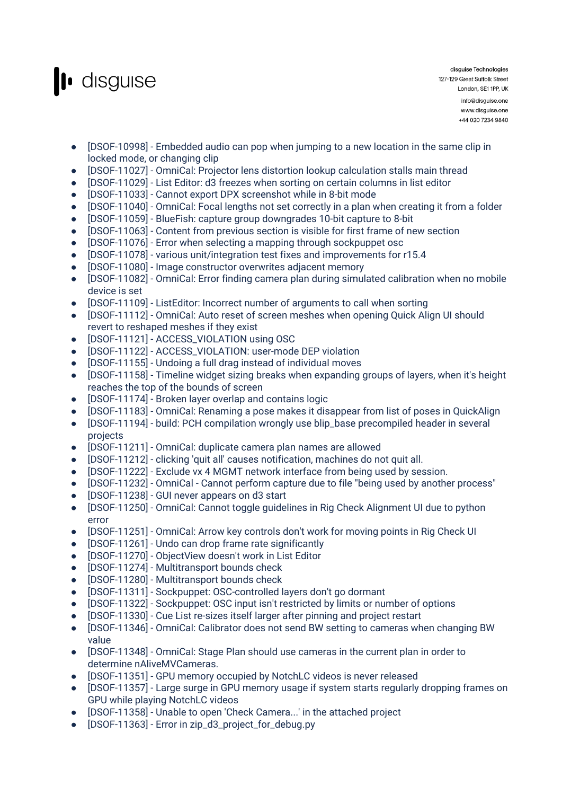

- [DSOF-10998] Embedded audio can pop when jumping to a new location in the same clip in locked mode, or changing clip
- [DSOF-11027] OmniCal: Projector lens distortion lookup calculation stalls main thread
- [DSOF-11029] List Editor: d3 freezes when sorting on certain columns in list editor
- [DSOF-11033] Cannot export DPX screenshot while in 8-bit mode
- [DSOF-11040] OmniCal: Focal lengths not set correctly in a plan when creating it from a folder
- [DSOF-11059] BlueFish: capture group downgrades 10-bit capture to 8-bit
- [DSOF-11063] Content from previous section is visible for first frame of new section
- [DSOF-11076] Error when selecting a mapping through sockpuppet osc
- [DSOF-11078] various unit/integration test fixes and improvements for r15.4
- [DSOF-11080] Image constructor overwrites adjacent memory
- [DSOF-11082] OmniCal: Error finding camera plan during simulated calibration when no mobile device is set
- [DSOF-11109] ListEditor: Incorrect number of arguments to call when sorting
- [DSOF-11112] OmniCal: Auto reset of screen meshes when opening Quick Align UI should revert to reshaped meshes if they exist
- [DSOF-11121] ACCESS\_VIOLATION using OSC
- [DSOF-11122] ACCESS\_VIOLATION: user-mode DEP violation
- [DSOF-11155] Undoing a full drag instead of individual moves
- [DSOF-11158] Timeline widget sizing breaks when expanding groups of layers, when it's height reaches the top of the bounds of screen
- [DSOF-11174] Broken layer overlap and contains logic
- [DSOF-11183] OmniCal: Renaming a pose makes it disappear from list of poses in QuickAlign
- [DSOF-11194] build: PCH compilation wrongly use blip\_base precompiled header in several projects
- [DSOF-11211] OmniCal: duplicate camera plan names are allowed
- [DSOF-11212] clicking 'quit all' causes notification, machines do not quit all.
- [DSOF-11222] Exclude vx 4 MGMT network interface from being used by session.
- [DSOF-11232] OmniCal Cannot perform capture due to file "being used by another process"
- [DSOF-11238] GUI never appears on d3 start
- [DSOF-11250] OmniCal: Cannot toggle guidelines in Rig Check Alignment UI due to python error
- [DSOF-11251] OmniCal: Arrow key controls don't work for moving points in Rig Check UI
- [DSOF-11261] Undo can drop frame rate significantly
- [DSOF-11270] ObjectView doesn't work in List Editor
- [DSOF-11274] Multitransport bounds check
- [DSOF-11280] Multitransport bounds check
- [DSOF-11311] Sockpuppet: OSC-controlled layers don't go dormant
- [DSOF-11322] Sockpuppet: OSC input isn't restricted by limits or number of options
- [DSOF-11330] Cue List re-sizes itself larger after pinning and project restart
- [DSOF-11346] OmniCal: Calibrator does not send BW setting to cameras when changing BW value
- [DSOF-11348] OmniCal: Stage Plan should use cameras in the current plan in order to determine nAliveMVCameras.
- [DSOF-11351] GPU memory occupied by NotchLC videos is never released
- [DSOF-11357] Large surge in GPU memory usage if system starts regularly dropping frames on GPU while playing NotchLC videos
- [DSOF-11358] Unable to open 'Check Camera...' in the attached project
- [DSOF-11363] Error in zip\_d3\_project\_for\_debug.py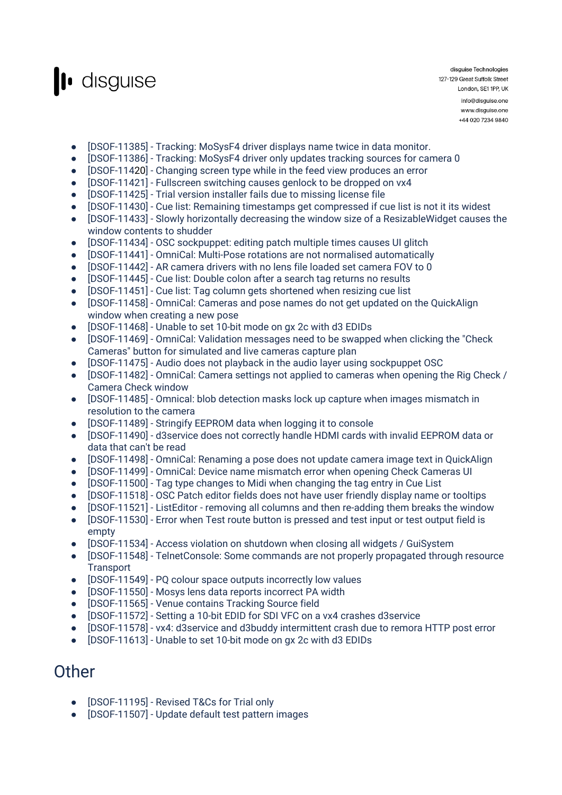

disguise Technologies 127-129 Great Suffolk Street London, SE1 1PP, UK info@disguise.one www.disguise.one

+44 020 7234 9840

- [DSOF-11385] Tracking: MoSysF4 driver displays name twice in data monitor.
- [DSOF-11386] Tracking: MoSysF4 driver only updates tracking sources for camera 0
- [DSOF-11420] Changing screen type while in the feed view produces an error
- [DSOF-11421] Fullscreen switching causes genlock to be dropped on vx4
- [DSOF-11425] Trial version installer fails due to missing license file
- [DSOF-11430] Cue list: Remaining timestamps get compressed if cue list is not it its widest
- [DSOF-11433] Slowly horizontally decreasing the window size of a ResizableWidget causes the window contents to shudder
- [DSOF-11434] OSC sockpuppet: editing patch multiple times causes UI glitch
- [DSOF-11441] OmniCal: Multi-Pose rotations are not normalised automatically
- [DSOF-11442] AR camera drivers with no lens file loaded set camera FOV to 0
- [DSOF-11445] Cue list: Double colon after a search tag returns no results
- [DSOF-11451] Cue list: Tag column gets shortened when resizing cue list
- [DSOF-11458] OmniCal: Cameras and pose names do not get updated on the QuickAlign window when creating a new pose
- [DSOF-11468] Unable to set 10-bit mode on gx 2c with d3 EDIDs
- [DSOF-11469] OmniCal: Validation messages need to be swapped when clicking the "Check Cameras" button for simulated and live cameras capture plan
- [DSOF-11475] Audio does not playback in the audio layer using sockpuppet OSC
- [DSOF-11482] OmniCal: Camera settings not applied to cameras when opening the Rig Check / Camera Check window
- [DSOF-11485] Omnical: blob detection masks lock up capture when images mismatch in resolution to the camera
- [DSOF-11489] Stringify EEPROM data when logging it to console
- [DSOF-11490] d3service does not correctly handle HDMI cards with invalid EEPROM data or data that can't be read
- [DSOF-11498] OmniCal: Renaming a pose does not update camera image text in QuickAlign
- [DSOF-11499] OmniCal: Device name mismatch error when opening Check Cameras UI
- [DSOF-11500] Tag type changes to Midi when changing the tag entry in Cue List
- [DSOF-11518] OSC Patch editor fields does not have user friendly display name or tooltips
- [DSOF-11521] ListEditor removing all columns and then re-adding them breaks the window
- [DSOF-11530] Error when Test route button is pressed and test input or test output field is empty
- [DSOF-11534] Access violation on shutdown when closing all widgets / GuiSystem
- [DSOF-11548] TelnetConsole: Some commands are not properly propagated through resource **Transport**
- [DSOF-11549] PQ colour space outputs incorrectly low values
- [DSOF-11550] Mosys lens data reports incorrect PA width
- [DSOF-11565] Venue contains Tracking Source field
- [DSOF-11572] Setting a 10-bit EDID for SDI VFC on a vx4 crashes d3service
- [DSOF-11578] vx4: d3service and d3buddy intermittent crash due to remora HTTP post error
- [DSOF-11613] Unable to set 10-bit mode on gx 2c with d3 EDIDs

#### **Other**

- [DSOF-11195] Revised T&Cs for Trial only
- [DSOF-11507] Update default test pattern images